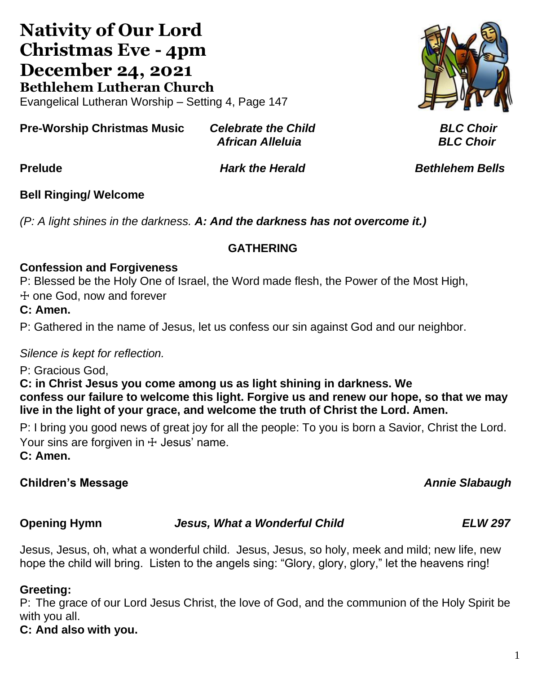## **Nativity of Our Lord Christmas Eve - 4pm December 24, 2021 Bethlehem Lutheran Church** Evangelical Lutheran Worship – Setting 4, Page 147

**Pre-Worship Christmas Music** *Celebrate the Child BLC Choir African Alleluia BLC Choir*

**Prelude** *Hark the Herald Bethlehem Bells*

# **Bell Ringing/ Welcome**

*(P: A light shines in the darkness. A: And the darkness has not overcome it.)*

#### **GATHERING**

#### **Confession and Forgiveness**

P: Blessed be the Holy One of Israel, the Word made flesh, the Power of the Most High,

☩ one God, now and forever

**C: Amen.**

P: Gathered in the name of Jesus, let us confess our sin against God and our neighbor.

#### *Silence is kept for reflection.*

P: Gracious God,

**C: in Christ Jesus you come among us as light shining in darkness. We confess our failure to welcome this light. Forgive us and renew our hope, so that we may live in the light of your grace, and welcome the truth of Christ the Lord. Amen.**

P: I bring you good news of great joy for all the people: To you is born a Savior, Christ the Lord. Your sins are forgiven in  $+$  Jesus' name.

**C: Amen.**

### **Children's Message** *Annie Slabaugh*

**Opening Hymn** *Jesus, What a Wonderful Child ELW 297*

Jesus, Jesus, oh, what a wonderful child. Jesus, Jesus, so holy, meek and mild; new life, new hope the child will bring. Listen to the angels sing: "Glory, glory, glory," let the heavens ring!

#### **Greeting:**

P: The grace of our Lord Jesus Christ, the love of God, and the communion of the Holy Spirit be with you all.

**C: And also with you.**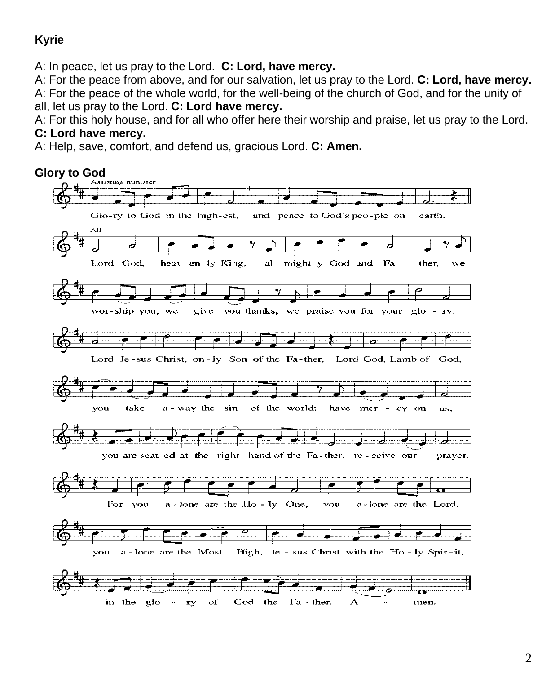### **Kyrie**

A: In peace, let us pray to the Lord. **C: Lord, have mercy.**

A: For the peace from above, and for our salvation, let us pray to the Lord. **C: Lord, have mercy.** A: For the peace of the whole world, for the well-being of the church of God, and for the unity of all, let us pray to the Lord. **C: Lord have mercy.**

A: For this holy house, and for all who offer here their worship and praise, let us pray to the Lord.

#### **C: Lord have mercy.**

A: Help, save, comfort, and defend us, gracious Lord. **C: Amen.**

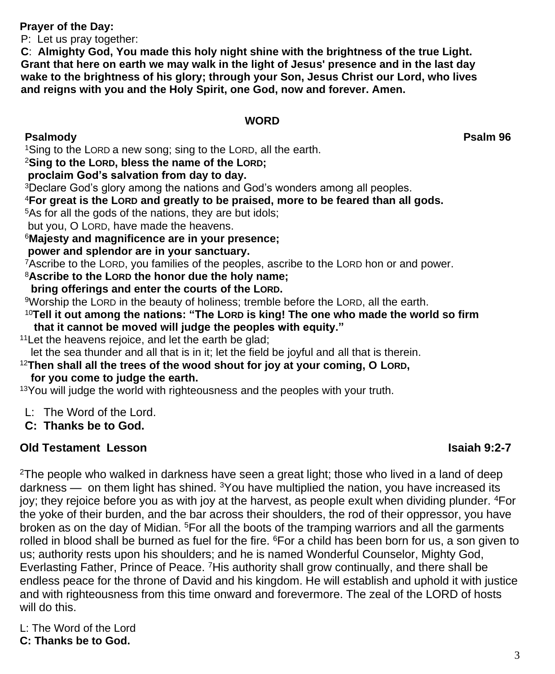**Prayer of the Day:** 

P: Let us pray together:

 **C**: **Almighty God, You made this holy night shine with the brightness of the true Light. Grant that here on earth we may walk in the light of Jesus' presence and in the last day wake to the brightness of his glory; through your Son, Jesus Christ our Lord, who lives and reigns with you and the Holy Spirit, one God, now and forever. Amen.**

## **WORD**

**Psalmody Psalm 96**

<sup>1</sup>Sing to the LORD a new song; sing to the LORD, all the earth.

#### <sup>2</sup>**Sing to the LORD, bless the name of the LORD;**

#### **proclaim God's salvation from day to day.**

<sup>3</sup>Declare God's glory among the nations and God's wonders among all peoples.

<sup>4</sup>**For great is the LORD and greatly to be praised, more to be feared than all gods.**

<sup>5</sup>As for all the gods of the nations, they are but idols;

but you, O LORD, have made the heavens.

#### <sup>6</sup>**Majesty and magnificence are in your presence;**

**power and splendor are in your sanctuary.**

<sup>7</sup>Ascribe to the LORD, you families of the peoples, ascribe to the LORD hon or and power.

<sup>8</sup>**Ascribe to the LORD the honor due the holy name;**

 **bring offerings and enter the courts of the LORD.**

<sup>9</sup>Worship the LORD in the beauty of holiness; tremble before the LORD, all the earth.

<sup>10</sup>**Tell it out among the nations: "The LORD is king! The one who made the world so firm that it cannot be moved will judge the peoples with equity."**

<sup>11</sup>Let the heavens rejoice, and let the earth be glad;

let the sea thunder and all that is in it; let the field be joyful and all that is therein.

<sup>12</sup>**Then shall all the trees of the wood shout for joy at your coming, O LORD, for you come to judge the earth.**

<sup>13</sup>You will judge the world with righteousness and the peoples with your truth.

L: The Word of the Lord.

**C: Thanks be to God.**

### **Old Testament Lesson Isaiah 9:2-7**

 $2$ The people who walked in darkness have seen a great light; those who lived in a land of deep darkness — on them light has shined.  $3$ You have multiplied the nation, you have increased its joy; they rejoice before you as with joy at the harvest, as people exult when dividing plunder. <sup>4</sup>For the yoke of their burden, and the bar across their shoulders, the rod of their oppressor, you have broken as on the day of Midian. <sup>5</sup>For all the boots of the tramping warriors and all the garments rolled in blood shall be burned as fuel for the fire. <sup>6</sup>For a child has been born for us, a son given to us; authority rests upon his shoulders; and he is named Wonderful Counselor, Mighty God, Everlasting Father, Prince of Peace. <sup>7</sup>His authority shall grow continually, and there shall be endless peace for the throne of David and his kingdom. He will establish and uphold it with justice and with righteousness from this time onward and forevermore. The zeal of the LORD of hosts will do this.

L: The Word of the Lord

### **C: Thanks be to God.**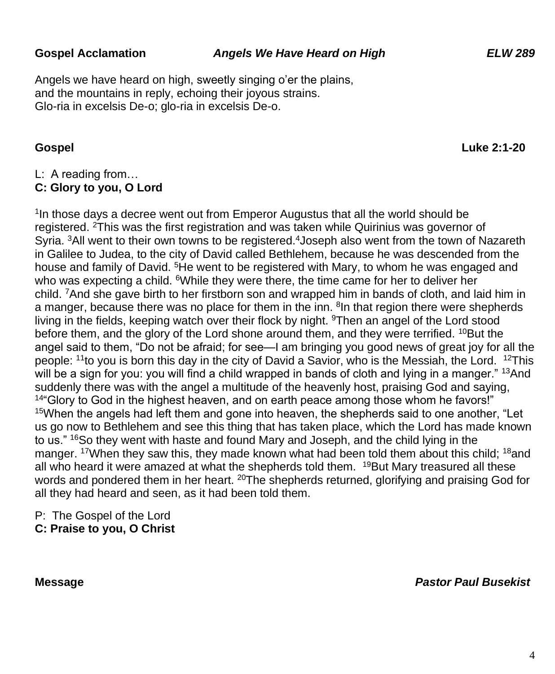Angels we have heard on high, sweetly singing o'er the plains, and the mountains in reply, echoing their joyous strains. Glo-ria in excelsis De-o; glo-ria in excelsis De-o.

**Gospel Luke 2:1-20**

### L: A reading from…

#### **C: Glory to you, O Lord**

<sup>1</sup>In those days a decree went out from Emperor Augustus that all the world should be registered. <sup>2</sup>This was the first registration and was taken while Quirinius was governor of Syria. <sup>3</sup>All went to their own towns to be registered.<sup>4</sup> Joseph also went from the town of Nazareth in Galilee to Judea, to the city of David called Bethlehem, because he was descended from the house and family of David. <sup>5</sup>He went to be registered with Mary, to whom he was engaged and who was expecting a child. <sup>6</sup>While they were there, the time came for her to deliver her child. <sup>7</sup>And she gave birth to her firstborn son and wrapped him in bands of cloth, and laid him in a manger, because there was no place for them in the inn. <sup>8</sup> In that region there were shepherds living in the fields, keeping watch over their flock by night. <sup>9</sup>Then an angel of the Lord stood before them, and the glory of the Lord shone around them, and they were terrified. <sup>10</sup>But the angel said to them, "Do not be afraid; for see—I am bringing you good news of great joy for all the people: <sup>11</sup> to you is born this day in the city of David a Savior, who is the Messiah, the Lord. <sup>12</sup>This will be a sign for you: you will find a child wrapped in bands of cloth and lying in a manger." <sup>13</sup>And suddenly there was with the angel a multitude of the heavenly host, praising God and saying,  $144$  Glory to God in the highest heaven, and on earth peace among those whom he favors!" <sup>15</sup>When the angels had left them and gone into heaven, the shepherds said to one another, "Let us go now to Bethlehem and see this thing that has taken place, which the Lord has made known to us." <sup>16</sup>So they went with haste and found Mary and Joseph, and the child lying in the manger. <sup>17</sup>When they saw this, they made known what had been told them about this child; <sup>18</sup>and all who heard it were amazed at what the shepherds told them.  $19$ But Mary treasured all these words and pondered them in her heart. <sup>20</sup>The shepherds returned, glorifying and praising God for all they had heard and seen, as it had been told them.

P: The Gospel of the Lord **C: Praise to you, O Christ**

**Message** *Pastor Paul Busekist*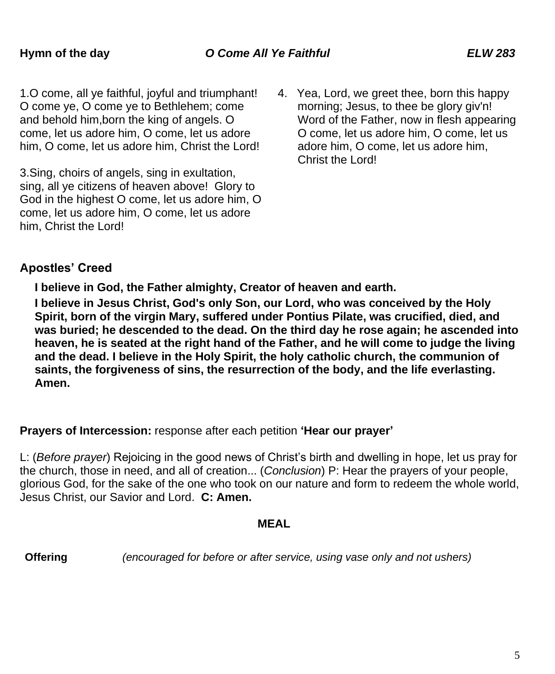1.O come, all ye faithful, joyful and triumphant! O come ye, O come ye to Bethlehem; come and behold him,born the king of angels. O come, let us adore him, O come, let us adore him, O come, let us adore him, Christ the Lord!

3.Sing, choirs of angels, sing in exultation, sing, all ye citizens of heaven above! Glory to God in the highest O come, let us adore him, O come, let us adore him, O come, let us adore him, Christ the Lord!

4. Yea, Lord, we greet thee, born this happy morning; Jesus, to thee be glory giv'n! Word of the Father, now in flesh appearing O come, let us adore him, O come, let us adore him, O come, let us adore him, Christ the Lord!

### **Apostles' Creed**

**I believe in God, the Father almighty, Creator of heaven and earth.**

**I believe in Jesus Christ, God's only Son, our Lord, who was conceived by the Holy Spirit, born of the virgin Mary, suffered under Pontius Pilate, was crucified, died, and was buried; he descended to the dead. On the third day he rose again; he ascended into heaven, he is seated at the right hand of the Father, and he will come to judge the living and the dead. I believe in the Holy Spirit, the holy catholic church, the communion of saints, the forgiveness of sins, the resurrection of the body, and the life everlasting. Amen.**

**Prayers of Intercession:** response after each petition **'Hear our prayer'**

L: (*Before prayer*) Rejoicing in the good news of Christ's birth and dwelling in hope, let us pray for the church, those in need, and all of creation... (*Conclusion*) P: Hear the prayers of your people, glorious God, for the sake of the one who took on our nature and form to redeem the whole world, Jesus Christ, our Savior and Lord. **C: Amen.**

#### **MEAL**

**Offering** *(encouraged for before or after service, using vase only and not ushers)*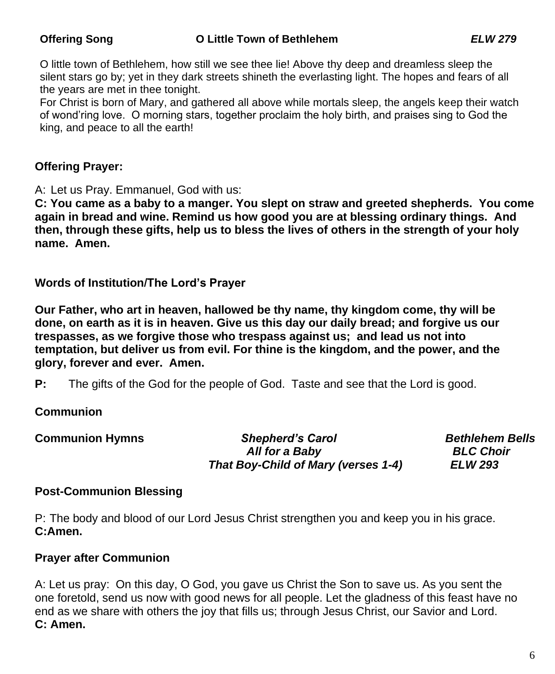O little town of Bethlehem, how still we see thee lie! Above thy deep and dreamless sleep the silent stars go by; yet in they dark streets shineth the everlasting light. The hopes and fears of all the years are met in thee tonight.

For Christ is born of Mary, and gathered all above while mortals sleep, the angels keep their watch of wond'ring love. O morning stars, together proclaim the holy birth, and praises sing to God the king, and peace to all the earth!

#### **Offering Prayer:**

A: Let us Pray. Emmanuel, God with us:

**C: You came as a baby to a manger. You slept on straw and greeted shepherds. You come again in bread and wine. Remind us how good you are at blessing ordinary things. And then, through these gifts, help us to bless the lives of others in the strength of your holy name. Amen.**

**Words of Institution/The Lord's Prayer**

**Our Father, who art in heaven, hallowed be thy name, thy kingdom come, thy will be done, on earth as it is in heaven. Give us this day our daily bread; and forgive us our trespasses, as we forgive those who trespass against us; and lead us not into temptation, but deliver us from evil. For thine is the kingdom, and the power, and the glory, forever and ever. Amen.**

**P:** The gifts of the God for the people of God. Taste and see that the Lord is good.

#### **Communion**

| <b>Communion Hymns</b> | <b>Shepherd's Carol</b>             | <b>Bethlehem Bells</b> |
|------------------------|-------------------------------------|------------------------|
|                        | All for a Baby                      | <b>BLC Choir</b>       |
|                        | That Boy-Child of Mary (verses 1-4) | ELW 293                |

#### **Post-Communion Blessing**

P: The body and blood of our Lord Jesus Christ strengthen you and keep you in his grace. **C:Amen.**

#### **Prayer after Communion**

A: Let us pray: On this day, O God, you gave us Christ the Son to save us. As you sent the one foretold, send us now with good news for all people. Let the gladness of this feast have no end as we share with others the joy that fills us; through Jesus Christ, our Savior and Lord. **C: Amen.**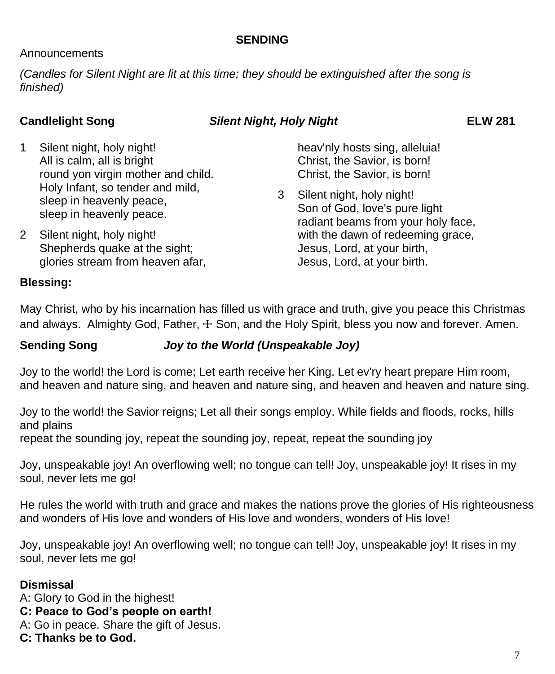#### **SENDING**

#### Announcements

*(Candles for Silent Night are lit at this time; they should be extinguished after the song is finished)*

#### **Candlelight Song** *Silent Night, Holy Night* **ELW 281**

- 1 Silent night, holy night! All is calm, all is bright round yon virgin mother and child. Holy Infant, so tender and mild, sleep in heavenly peace. sleep in heavenly peace.
- 2 Silent night, holy night! Shepherds quake at the sight; glories stream from heaven afar,

heav'nly hosts sing, alleluia! Christ, the Savior, is born! Christ, the Savior, is born!

3 Silent night, holy night! Son of God, love's pure light radiant beams from your holy face, with the dawn of redeeming grace, Jesus, Lord, at your birth, Jesus, Lord, at your birth.

#### **Blessing:**

May Christ, who by his incarnation has filled us with grace and truth, give you peace this Christmas and always. Almighty God, Father,  $\pm$  Son, and the Holy Spirit, bless you now and forever. Amen.

#### **Sending Song** *Joy to the World (Unspeakable Joy)*

Joy to the world! the Lord is come; Let earth receive her King. Let ev'ry heart prepare Him room, and heaven and nature sing, and heaven and nature sing, and heaven and heaven and nature sing.

Joy to the world! the Savior reigns; Let all their songs employ. While fields and floods, rocks, hills and plains

repeat the sounding joy, repeat the sounding joy, repeat, repeat the sounding joy

Joy, unspeakable joy! An overflowing well; no tongue can tell! Joy, unspeakable joy! It rises in my soul, never lets me go!

He rules the world with truth and grace and makes the nations prove the glories of His righteousness and wonders of His love and wonders of His love and wonders, wonders of His love!

Joy, unspeakable joy! An overflowing well; no tongue can tell! Joy, unspeakable joy! It rises in my soul, never lets me go!

#### **Dismissal**

A: Glory to God in the highest!

- **C: Peace to God's people on earth!**
- A: Go in peace. Share the gift of Jesus.
- **C: Thanks be to God.**